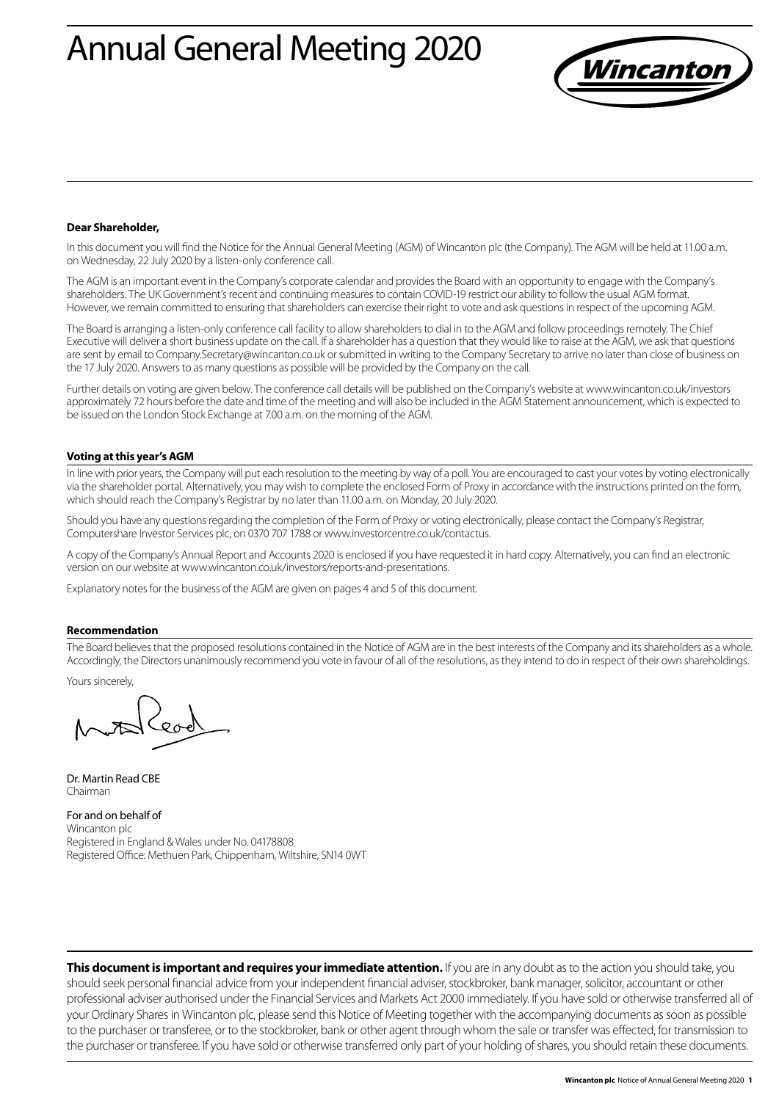# Annual General Meeting 2020



### **Dear Shareholder,**

In this document you will find the Notice for the Annual General Meeting (AGM) of Wincanton plc (the Company). The AGM will be held at 11.00 a.m. on Wednesday, 22 July 2020 by a listen-only conference call.

The AGM is an important event in the Company's corporate calendar and provides the Board with an opportunity to engage with the Company's shareholders. The UK Government's recent and continuing measures to contain COVID-19 restrict our ability to follow the usual AGM format. However, we remain committed to ensuring that shareholders can exercise their right to vote and ask questions in respect of the upcoming AGM.

The Board is arranging a listen-only conference call facility to allow shareholders to dial in to the AGM and follow proceedings remotely. The Chief Executive will deliver a short business update on the call. If a shareholder has a question that they would like to raise at the AGM, we ask that questions are sent by email to Company.Secretary@wincanton.co.uk or submitted in writing to the Company Secretary to arrive no later than close of business on the 17 July 2020. Answers to as many questions as possible will be provided by the Company on the call.

Further details on voting are given below. The conference call details will be published on the Company's website at www.wincanton.co.uk/investors approximately 72 hours before the date and time of the meeting and will also be included in the AGM Statement announcement, which is expected to be issued on the London Stock Exchange at 7.00 a.m. on the morning of the AGM.

#### **Voting at this year's AGM**

In line with prior years, the Company will put each resolution to the meeting by way of a poll. You are encouraged to cast your votes by voting electronically via the shareholder portal. Alternatively, you may wish to complete the enclosed Form of Proxy in accordance with the instructions printed on the form, which should reach the Company's Registrar by no later than 11.00 a.m. on Monday, 20 July 2020.

Should you have any questions regarding the completion of the Form of Proxy or voting electronically, please contact the Company's Registrar, Computershare Investor Services plc, on 0370 707 1788 or www.investorcentre.co.uk/contactus.

A copy of the Company's Annual Report and Accounts 2020 is enclosed if you have requested it in hard copy. Alternatively, you can find an electronic version on our website at www.wincanton.co.uk/investors/reports-and-presentations.

Explanatory notes for the business of the AGM are given on pages 4 and 5 of this document.

#### **Recommendation**

The Board believes that the proposed resolutions contained in the Notice of AGM are in the best interests of the Company and its shareholders as a whole. Accordingly, the Directors unanimously recommend you vote in favour of all of the resolutions, as they intend to do in respect of their own shareholdings.

Yours sincerely,

Dr. Martin Read CBE Chairman

For and on behalf of Wincanton plc Registered in England & Wales under No. 04178808 Registered Office: Methuen Park, Chippenham, Wiltshire, SN14 0WT

**This document is important and requires your immediate attention.** If you are in any doubt as to the action you should take, you should seek personal financial advice from your independent financial adviser, stockbroker, bank manager, solicitor, accountant or other professional adviser authorised under the Financial Services and Markets Act 2000 immediately. If you have sold or otherwise transferred all of your Ordinary Shares in Wincanton plc, please send this Notice of Meeting together with the accompanying documents as soon as possible to the purchaser or transferee, or to the stockbroker, bank or other agent through whom the sale or transfer was effected, for transmission to the purchaser or transferee. If you have sold or otherwise transferred only part of your holding of shares, you should retain these documents.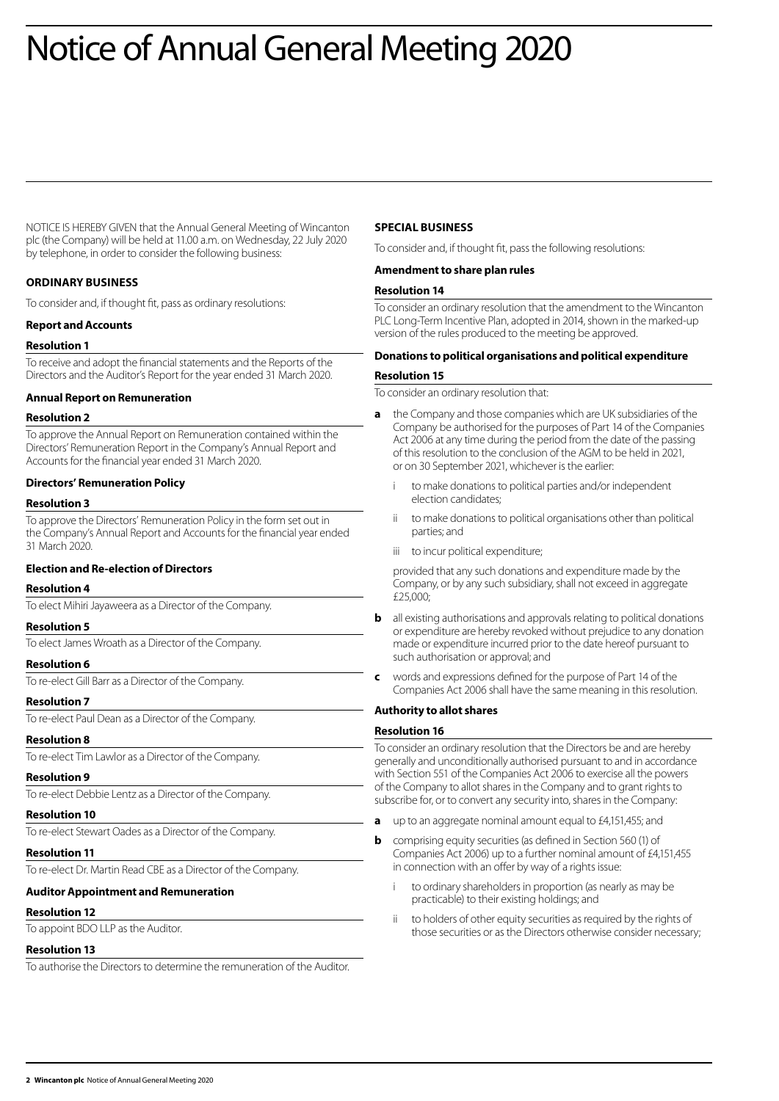# Notice of Annual General Meeting 2020

NOTICE IS HEREBY GIVEN that the Annual General Meeting of Wincanton plc (the Company) will be held at 11.00 a.m. on Wednesday, 22 July 2020 by telephone, in order to consider the following business:

# **ORDINARY BUSINESS**

To consider and, if thought fit, pass as ordinary resolutions:

### **Report and Accounts**

### **Resolution 1**

To receive and adopt the financial statements and the Reports of the Directors and the Auditor's Report for the year ended 31 March 2020.

### **Annual Report on Remuneration**

#### **Resolution 2**

To approve the Annual Report on Remuneration contained within the Directors' Remuneration Report in the Company's Annual Report and Accounts for the financial year ended 31 March 2020.

### **Directors' Remuneration Policy**

### **Resolution 3**

To approve the Directors' Remuneration Policy in the form set out in the Company's Annual Report and Accounts for the financial year ended 31 March 2020.

## **Election and Re-election of Directors**

#### **Resolution 4**

To elect Mihiri Jayaweera as a Director of the Company.

## **Resolution 5**

To elect James Wroath as a Director of the Company.

## **Resolution 6**

To re-elect Gill Barr as a Director of the Company.

#### **Resolution 7**

To re-elect Paul Dean as a Director of the Company.

#### **Resolution 8**

To re-elect Tim Lawlor as a Director of the Company.

#### **Resolution 9**

To re-elect Debbie Lentz as a Director of the Company.

## **Resolution 10**

To re-elect Stewart Oades as a Director of the Company.

# **Resolution 11**

To re-elect Dr. Martin Read CBE as a Director of the Company.

# **Auditor Appointment and Remuneration**

# **Resolution 12**

To appoint BDO LLP as the Auditor.

# **Resolution 13**

To authorise the Directors to determine the remuneration of the Auditor.

# **SPECIAL BUSINESS**

To consider and, if thought fit, pass the following resolutions:

## **Amendment to share plan rules**

# **Resolution 14**

To consider an ordinary resolution that the amendment to the Wincanton PLC Long-Term Incentive Plan, adopted in 2014, shown in the marked-up version of the rules produced to the meeting be approved.

## **Donations to political organisations and political expenditure**

#### **Resolution 15**

To consider an ordinary resolution that:

- **a** the Company and those companies which are UK subsidiaries of the Company be authorised for the purposes of Part 14 of the Companies Act 2006 at any time during the period from the date of the passing of this resolution to the conclusion of the AGM to be held in 2021, or on 30 September 2021, whichever is the earlier:
	- to make donations to political parties and/or independent election candidates;
	- ii to make donations to political organisations other than political parties; and
	- iii to incur political expenditure;

 provided that any such donations and expenditure made by the Company, or by any such subsidiary, shall not exceed in aggregate £25,000;

- **b** all existing authorisations and approvals relating to political donations or expenditure are hereby revoked without prejudice to any donation made or expenditure incurred prior to the date hereof pursuant to such authorisation or approval; and
- **c** words and expressions defined for the purpose of Part 14 of the Companies Act 2006 shall have the same meaning in this resolution.

## **Authority to allot shares**

#### **Resolution 16**

To consider an ordinary resolution that the Directors be and are hereby generally and unconditionally authorised pursuant to and in accordance with Section 551 of the Companies Act 2006 to exercise all the powers of the Company to allot shares in the Company and to grant rights to subscribe for, or to convert any security into, shares in the Company:

- **a** up to an aggregate nominal amount equal to £4,151,455; and
- **b** comprising equity securities (as defined in Section 560 (1) of Companies Act 2006) up to a further nominal amount of £4,151,455 in connection with an offer by way of a rights issue:
	- to ordinary shareholders in proportion (as nearly as may be practicable) to their existing holdings; and
	- ii to holders of other equity securities as required by the rights of those securities or as the Directors otherwise consider necessary;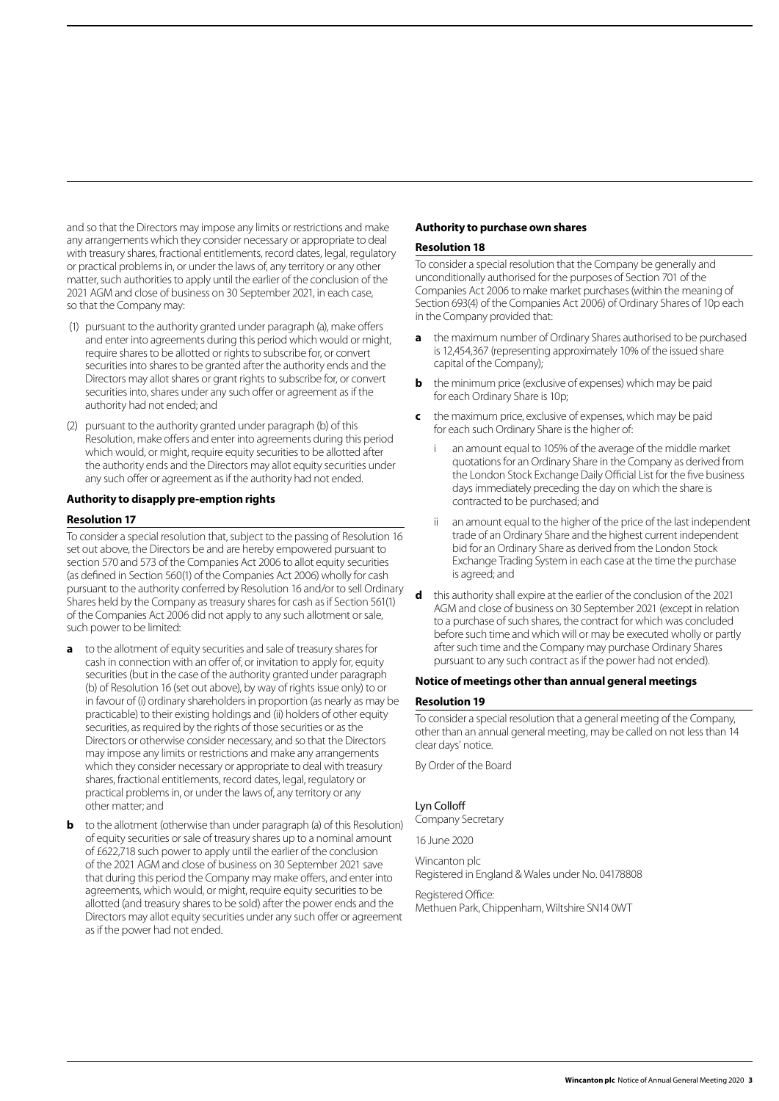and so that the Directors may impose any limits or restrictions and make any arrangements which they consider necessary or appropriate to deal with treasury shares, fractional entitlements, record dates, legal, regulatory or practical problems in, or under the laws of, any territory or any other matter, such authorities to apply until the earlier of the conclusion of the 2021 AGM and close of business on 30 September 2021, in each case, so that the Company may:

- (1) pursuant to the authority granted under paragraph (a), make offers and enter into agreements during this period which would or might, require shares to be allotted or rights to subscribe for, or convert securities into shares to be granted after the authority ends and the Directors may allot shares or grant rights to subscribe for, or convert securities into, shares under any such offer or agreement as if the authority had not ended; and
- (2) pursuant to the authority granted under paragraph (b) of this Resolution, make offers and enter into agreements during this period which would, or might, require equity securities to be allotted after the authority ends and the Directors may allot equity securities under any such offer or agreement as if the authority had not ended.

## **Authority to disapply pre-emption rights**

### **Resolution 17**

To consider a special resolution that, subject to the passing of Resolution 16 set out above, the Directors be and are hereby empowered pursuant to section 570 and 573 of the Companies Act 2006 to allot equity securities (as defined in Section 560(1) of the Companies Act 2006) wholly for cash pursuant to the authority conferred by Resolution 16 and/or to sell Ordinary Shares held by the Company as treasury shares for cash as if Section 561(1) of the Companies Act 2006 did not apply to any such allotment or sale, such power to be limited:

- **a** to the allotment of equity securities and sale of treasury shares for cash in connection with an offer of, or invitation to apply for, equity securities (but in the case of the authority granted under paragraph (b) of Resolution 16 (set out above), by way of rights issue only) to or in favour of (i) ordinary shareholders in proportion (as nearly as may be practicable) to their existing holdings and (ii) holders of other equity securities, as required by the rights of those securities or as the Directors or otherwise consider necessary, and so that the Directors may impose any limits or restrictions and make any arrangements which they consider necessary or appropriate to deal with treasury shares, fractional entitlements, record dates, legal, regulatory or practical problems in, or under the laws of, any territory or any other matter; and
- **b** to the allotment (otherwise than under paragraph (a) of this Resolution) of equity securities or sale of treasury shares up to a nominal amount of £622,718 such power to apply until the earlier of the conclusion of the 2021 AGM and close of business on 30 September 2021 save that during this period the Company may make offers, and enter into agreements, which would, or might, require equity securities to be allotted (and treasury shares to be sold) after the power ends and the Directors may allot equity securities under any such offer or agreement as if the power had not ended.

## **Authority to purchase own shares**

#### **Resolution 18**

To consider a special resolution that the Company be generally and unconditionally authorised for the purposes of Section 701 of the Companies Act 2006 to make market purchases (within the meaning of Section 693(4) of the Companies Act 2006) of Ordinary Shares of 10p each in the Company provided that:

- **a** the maximum number of Ordinary Shares authorised to be purchased is 12,454,367 (representing approximately 10% of the issued share capital of the Company);
- **b** the minimum price (exclusive of expenses) which may be paid for each Ordinary Share is 10p;
- **c** the maximum price, exclusive of expenses, which may be paid for each such Ordinary Share is the higher of:
	- an amount equal to 105% of the average of the middle market quotations for an Ordinary Share in the Company as derived from the London Stock Exchange Daily Official List for the five business days immediately preceding the day on which the share is contracted to be purchased; and
	- ii an amount equal to the higher of the price of the last independent trade of an Ordinary Share and the highest current independent bid for an Ordinary Share as derived from the London Stock Exchange Trading System in each case at the time the purchase is agreed; and
- **d** this authority shall expire at the earlier of the conclusion of the 2021 AGM and close of business on 30 September 2021 (except in relation to a purchase of such shares, the contract for which was concluded before such time and which will or may be executed wholly or partly after such time and the Company may purchase Ordinary Shares pursuant to any such contract as if the power had not ended).

#### **Notice of meetings other than annual general meetings**

#### **Resolution 19**

To consider a special resolution that a general meeting of the Company, other than an annual general meeting, may be called on not less than 14 clear days' notice.

By Order of the Board

## Lyn Colloff

Company Secretary

16 June 2020

Wincanton plc Registered in England & Wales under No. 04178808

Registered Office: Methuen Park, Chippenham, Wiltshire SN14 0WT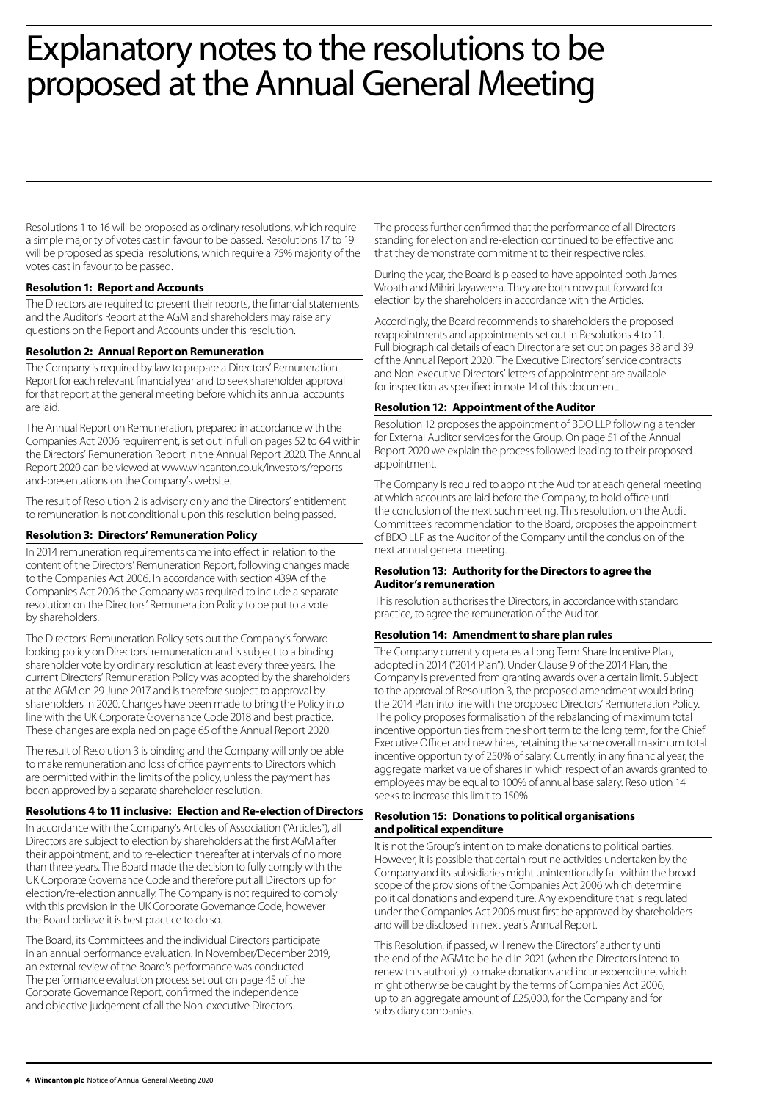# Explanatory notes to the resolutions to be proposed at the Annual General Meeting

Resolutions 1 to 16 will be proposed as ordinary resolutions, which require a simple majority of votes cast in favour to be passed. Resolutions 17 to 19 will be proposed as special resolutions, which require a 75% majority of the votes cast in favour to be passed.

## **Resolution 1: Report and Accounts**

The Directors are required to present their reports, the financial statements and the Auditor's Report at the AGM and shareholders may raise any questions on the Report and Accounts under this resolution.

## **Resolution 2: Annual Report on Remuneration**

The Company is required by law to prepare a Directors' Remuneration Report for each relevant financial year and to seek shareholder approval for that report at the general meeting before which its annual accounts are laid.

The Annual Report on Remuneration, prepared in accordance with the Companies Act 2006 requirement, is set out in full on pages 52 to 64 within the Directors' Remuneration Report in the Annual Report 2020. The Annual Report 2020 can be viewed at www.wincanton.co.uk/investors/reportsand-presentations on the Company's website.

The result of Resolution 2 is advisory only and the Directors' entitlement to remuneration is not conditional upon this resolution being passed.

## **Resolution 3: Directors' Remuneration Policy**

In 2014 remuneration requirements came into effect in relation to the content of the Directors' Remuneration Report, following changes made to the Companies Act 2006. In accordance with section 439A of the Companies Act 2006 the Company was required to include a separate resolution on the Directors' Remuneration Policy to be put to a vote by shareholders.

The Directors' Remuneration Policy sets out the Company's forwardlooking policy on Directors' remuneration and is subject to a binding shareholder vote by ordinary resolution at least every three years. The current Directors' Remuneration Policy was adopted by the shareholders at the AGM on 29 June 2017 and is therefore subject to approval by shareholders in 2020. Changes have been made to bring the Policy into line with the UK Corporate Governance Code 2018 and best practice. These changes are explained on page 65 of the Annual Report 2020.

The result of Resolution 3 is binding and the Company will only be able to make remuneration and loss of office payments to Directors which are permitted within the limits of the policy, unless the payment has been approved by a separate shareholder resolution.

## **Resolutions 4 to 11 inclusive: Election and Re-election of Directors**

In accordance with the Company's Articles of Association ("Articles"), all Directors are subject to election by shareholders at the first AGM after their appointment, and to re-election thereafter at intervals of no more than three years. The Board made the decision to fully comply with the UK Corporate Governance Code and therefore put all Directors up for election/re-election annually. The Company is not required to comply with this provision in the UK Corporate Governance Code, however the Board believe it is best practice to do so.

The Board, its Committees and the individual Directors participate in an annual performance evaluation. In November/December 2019, an external review of the Board's performance was conducted. The performance evaluation process set out on page 45 of the Corporate Governance Report, confirmed the independence and objective judgement of all the Non-executive Directors.

The process further confirmed that the performance of all Directors standing for election and re-election continued to be effective and that they demonstrate commitment to their respective roles.

During the year, the Board is pleased to have appointed both James Wroath and Mihiri Jayaweera. They are both now put forward for election by the shareholders in accordance with the Articles.

Accordingly, the Board recommends to shareholders the proposed reappointments and appointments set out in Resolutions 4 to 11. Full biographical details of each Director are set out on pages 38 and 39 of the Annual Report 2020. The Executive Directors' service contracts and Non-executive Directors' letters of appointment are available for inspection as specified in note 14 of this document.

## **Resolution 12: Appointment of the Auditor**

Resolution 12 proposes the appointment of BDO LLP following a tender for External Auditor services for the Group. On page 51 of the Annual Report 2020 we explain the process followed leading to their proposed appointment.

The Company is required to appoint the Auditor at each general meeting at which accounts are laid before the Company, to hold office until the conclusion of the next such meeting. This resolution, on the Audit Committee's recommendation to the Board, proposes the appointment of BDO LLP as the Auditor of the Company until the conclusion of the next annual general meeting.

## **Resolution 13: Authority for the Directors to agree the Auditor's remuneration**

This resolution authorises the Directors, in accordance with standard practice, to agree the remuneration of the Auditor.

# **Resolution 14: Amendment to share plan rules**

The Company currently operates a Long Term Share Incentive Plan, adopted in 2014 ("2014 Plan"). Under Clause 9 of the 2014 Plan, the Company is prevented from granting awards over a certain limit. Subject to the approval of Resolution 3, the proposed amendment would bring the 2014 Plan into line with the proposed Directors' Remuneration Policy. The policy proposes formalisation of the rebalancing of maximum total incentive opportunities from the short term to the long term, for the Chief Executive Officer and new hires, retaining the same overall maximum total incentive opportunity of 250% of salary. Currently, in any financial year, the aggregate market value of shares in which respect of an awards granted to employees may be equal to 100% of annual base salary. Resolution 14 seeks to increase this limit to 150%.

## **Resolution 15: Donations to political organisations and political expenditure**

It is not the Group's intention to make donations to political parties. However, it is possible that certain routine activities undertaken by the Company and its subsidiaries might unintentionally fall within the broad scope of the provisions of the Companies Act 2006 which determine political donations and expenditure. Any expenditure that is regulated under the Companies Act 2006 must first be approved by shareholders and will be disclosed in next year's Annual Report.

This Resolution, if passed, will renew the Directors' authority until the end of the AGM to be held in 2021 (when the Directors intend to renew this authority) to make donations and incur expenditure, which might otherwise be caught by the terms of Companies Act 2006, up to an aggregate amount of £25,000, for the Company and for subsidiary companies.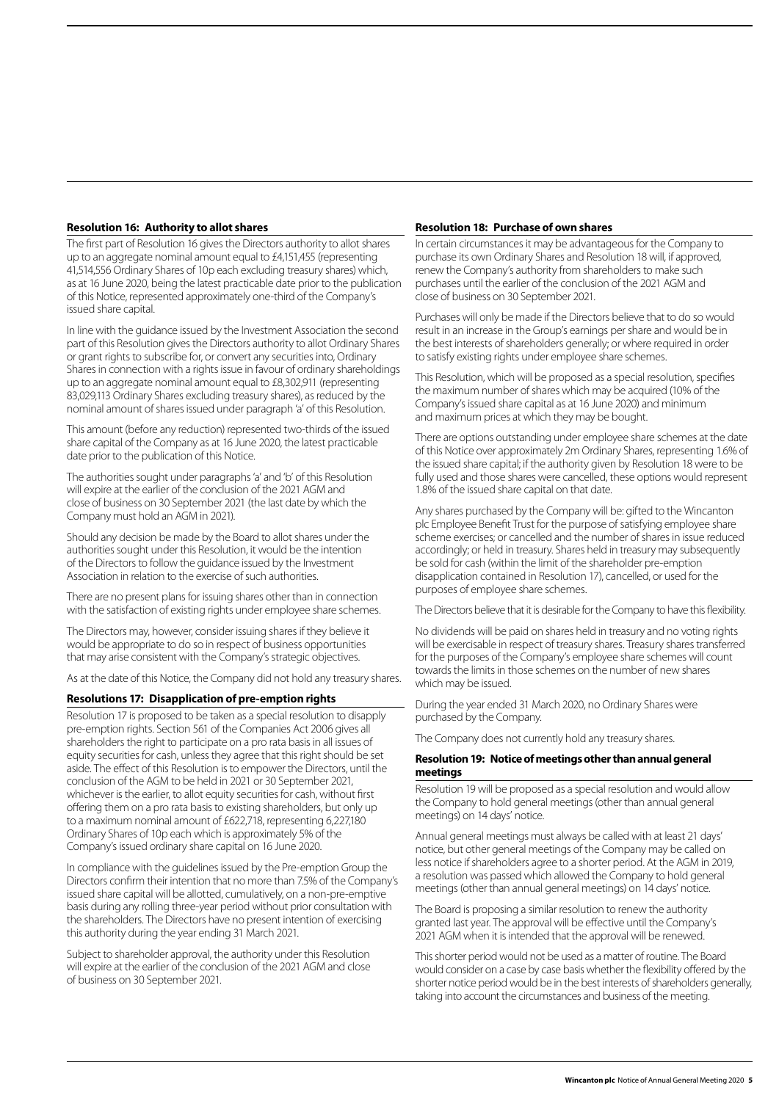## **Resolution 16: Authority to allot shares**

The first part of Resolution 16 gives the Directors authority to allot shares up to an aggregate nominal amount equal to £4,151,455 (representing 41,514,556 Ordinary Shares of 10p each excluding treasury shares) which, as at 16 June 2020, being the latest practicable date prior to the publication of this Notice, represented approximately one-third of the Company's issued share capital.

In line with the guidance issued by the Investment Association the second part of this Resolution gives the Directors authority to allot Ordinary Shares or grant rights to subscribe for, or convert any securities into, Ordinary Shares in connection with a rights issue in favour of ordinary shareholdings up to an aggregate nominal amount equal to £8,302,911 (representing 83,029,113 Ordinary Shares excluding treasury shares), as reduced by the nominal amount of shares issued under paragraph 'a' of this Resolution.

This amount (before any reduction) represented two-thirds of the issued share capital of the Company as at 16 June 2020, the latest practicable date prior to the publication of this Notice.

The authorities sought under paragraphs 'a' and 'b' of this Resolution will expire at the earlier of the conclusion of the 2021 AGM and close of business on 30 September 2021 (the last date by which the Company must hold an AGM in 2021).

Should any decision be made by the Board to allot shares under the authorities sought under this Resolution, it would be the intention of the Directors to follow the guidance issued by the Investment Association in relation to the exercise of such authorities.

There are no present plans for issuing shares other than in connection with the satisfaction of existing rights under employee share schemes.

The Directors may, however, consider issuing shares if they believe it would be appropriate to do so in respect of business opportunities that may arise consistent with the Company's strategic objectives.

As at the date of this Notice, the Company did not hold any treasury shares.

#### **Resolutions 17: Disapplication of pre-emption rights**

Resolution 17 is proposed to be taken as a special resolution to disapply pre-emption rights. Section 561 of the Companies Act 2006 gives all shareholders the right to participate on a pro rata basis in all issues of equity securities for cash, unless they agree that this right should be set aside. The effect of this Resolution is to empower the Directors, until the conclusion of the AGM to be held in 2021 or 30 September 2021, whichever is the earlier, to allot equity securities for cash, without first offering them on a pro rata basis to existing shareholders, but only up to a maximum nominal amount of £622,718, representing 6,227,180 Ordinary Shares of 10p each which is approximately 5% of the Company's issued ordinary share capital on 16 June 2020.

In compliance with the guidelines issued by the Pre-emption Group the Directors confirm their intention that no more than 7.5% of the Company's issued share capital will be allotted, cumulatively, on a non-pre-emptive basis during any rolling three-year period without prior consultation with the shareholders. The Directors have no present intention of exercising this authority during the year ending 31 March 2021.

Subject to shareholder approval, the authority under this Resolution will expire at the earlier of the conclusion of the 2021 AGM and close of business on 30 September 2021.

#### **Resolution 18: Purchase of own shares**

In certain circumstances it may be advantageous for the Company to purchase its own Ordinary Shares and Resolution 18 will, if approved, renew the Company's authority from shareholders to make such purchases until the earlier of the conclusion of the 2021 AGM and close of business on 30 September 2021.

Purchases will only be made if the Directors believe that to do so would result in an increase in the Group's earnings per share and would be in the best interests of shareholders generally; or where required in order to satisfy existing rights under employee share schemes.

This Resolution, which will be proposed as a special resolution, specifies the maximum number of shares which may be acquired (10% of the Company's issued share capital as at 16 June 2020) and minimum and maximum prices at which they may be bought.

There are options outstanding under employee share schemes at the date of this Notice over approximately 2m Ordinary Shares, representing 1.6% of the issued share capital; if the authority given by Resolution 18 were to be fully used and those shares were cancelled, these options would represent 1.8% of the issued share capital on that date.

Any shares purchased by the Company will be: gifted to the Wincanton plc Employee Benefit Trust for the purpose of satisfying employee share scheme exercises; or cancelled and the number of shares in issue reduced accordingly; or held in treasury. Shares held in treasury may subsequently be sold for cash (within the limit of the shareholder pre-emption disapplication contained in Resolution 17), cancelled, or used for the purposes of employee share schemes.

The Directors believe that it is desirable for the Company to have this flexibility.

No dividends will be paid on shares held in treasury and no voting rights will be exercisable in respect of treasury shares. Treasury shares transferred for the purposes of the Company's employee share schemes will count towards the limits in those schemes on the number of new shares which may be issued.

During the year ended 31 March 2020, no Ordinary Shares were purchased by the Company.

The Company does not currently hold any treasury shares.

#### **Resolution 19: Notice of meetings other than annual general meetings**

Resolution 19 will be proposed as a special resolution and would allow the Company to hold general meetings (other than annual general meetings) on 14 days' notice.

Annual general meetings must always be called with at least 21 days' notice, but other general meetings of the Company may be called on less notice if shareholders agree to a shorter period. At the AGM in 2019, a resolution was passed which allowed the Company to hold general meetings (other than annual general meetings) on 14 days' notice.

The Board is proposing a similar resolution to renew the authority granted last year. The approval will be effective until the Company's 2021 AGM when it is intended that the approval will be renewed.

This shorter period would not be used as a matter of routine. The Board would consider on a case by case basis whether the flexibility offered by the shorter notice period would be in the best interests of shareholders generally, taking into account the circumstances and business of the meeting.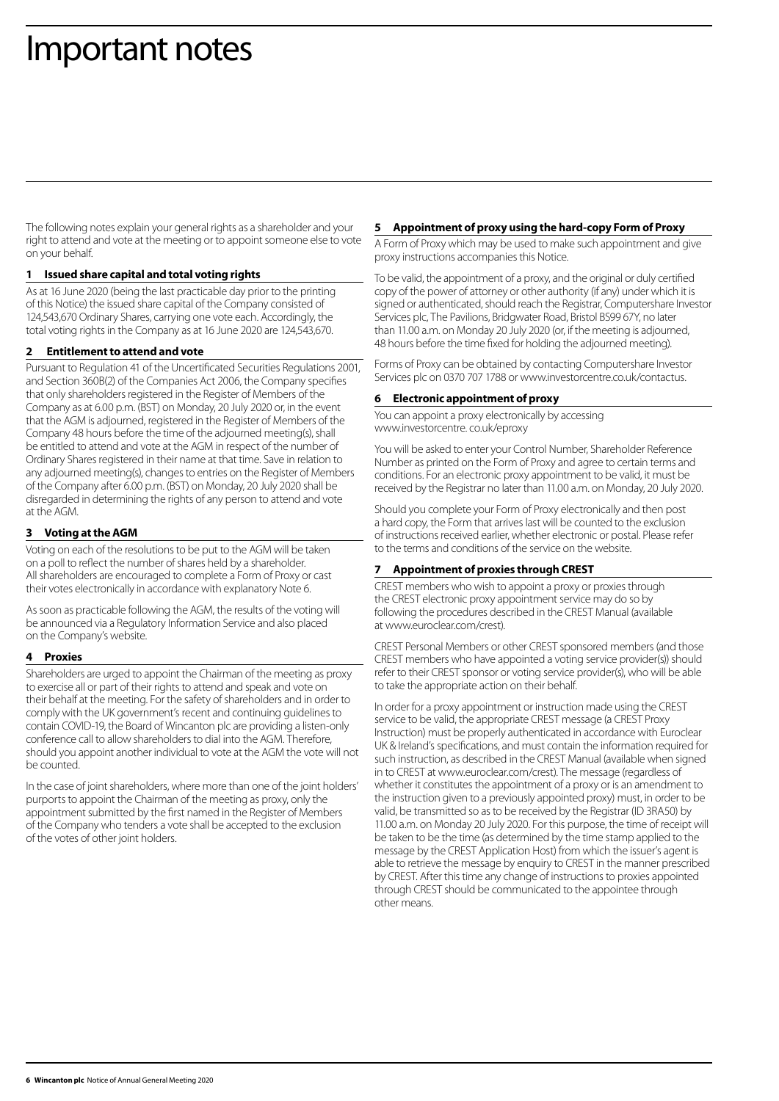# Important notes

The following notes explain your general rights as a shareholder and your right to attend and vote at the meeting or to appoint someone else to vote on your behalf.

## **1 Issued share capital and total voting rights**

As at 16 June 2020 (being the last practicable day prior to the printing of this Notice) the issued share capital of the Company consisted of 124,543,670 Ordinary Shares, carrying one vote each. Accordingly, the total voting rights in the Company as at 16 June 2020 are 124,543,670.

## **2 Entitlement to attend and vote**

Pursuant to Regulation 41 of the Uncertificated Securities Regulations 2001, and Section 360B(2) of the Companies Act 2006, the Company specifies that only shareholders registered in the Register of Members of the Company as at 6.00 p.m. (BST) on Monday, 20 July 2020 or, in the event that the AGM is adjourned, registered in the Register of Members of the Company 48 hours before the time of the adjourned meeting(s), shall be entitled to attend and vote at the AGM in respect of the number of Ordinary Shares registered in their name at that time. Save in relation to any adjourned meeting(s), changes to entries on the Register of Members of the Company after 6.00 p.m. (BST) on Monday, 20 July 2020 shall be disregarded in determining the rights of any person to attend and vote at the AGM.

# **3 Voting at the AGM**

Voting on each of the resolutions to be put to the AGM will be taken on a poll to reflect the number of shares held by a shareholder. All shareholders are encouraged to complete a Form of Proxy or cast their votes electronically in accordance with explanatory Note 6.

As soon as practicable following the AGM, the results of the voting will be announced via a Regulatory Information Service and also placed on the Company's website.

## **4 Proxies**

Shareholders are urged to appoint the Chairman of the meeting as proxy to exercise all or part of their rights to attend and speak and vote on their behalf at the meeting. For the safety of shareholders and in order to comply with the UK government's recent and continuing guidelines to contain COVID-19, the Board of Wincanton plc are providing a listen-only conference call to allow shareholders to dial into the AGM. Therefore, should you appoint another individual to vote at the AGM the vote will not be counted.

In the case of joint shareholders, where more than one of the joint holders' purports to appoint the Chairman of the meeting as proxy, only the appointment submitted by the first named in the Register of Members of the Company who tenders a vote shall be accepted to the exclusion of the votes of other joint holders.

## **5 Appointment of proxy using the hard-copy Form of Proxy**

A Form of Proxy which may be used to make such appointment and give proxy instructions accompanies this Notice.

To be valid, the appointment of a proxy, and the original or duly certified copy of the power of attorney or other authority (if any) under which it is signed or authenticated, should reach the Registrar, Computershare Investor Services plc, The Pavilions, Bridgwater Road, Bristol BS99 67Y, no later than 11.00 a.m. on Monday 20 July 2020 (or, if the meeting is adjourned, 48 hours before the time fixed for holding the adjourned meeting).

Forms of Proxy can be obtained by contacting Computershare Investor Services plc on 0370 707 1788 or www.investorcentre.co.uk/contactus.

## **6 Electronic appointment of proxy**

You can appoint a proxy electronically by accessing www.investorcentre. co.uk/eproxy

You will be asked to enter your Control Number, Shareholder Reference Number as printed on the Form of Proxy and agree to certain terms and conditions. For an electronic proxy appointment to be valid, it must be received by the Registrar no later than 11.00 a.m. on Monday, 20 July 2020.

Should you complete your Form of Proxy electronically and then post a hard copy, the Form that arrives last will be counted to the exclusion of instructions received earlier, whether electronic or postal. Please refer to the terms and conditions of the service on the website.

# **7 Appointment of proxies through CREST**

CREST members who wish to appoint a proxy or proxies through the CREST electronic proxy appointment service may do so by following the procedures described in the CREST Manual (available at www.euroclear.com/crest).

CREST Personal Members or other CREST sponsored members (and those CREST members who have appointed a voting service provider(s)) should refer to their CREST sponsor or voting service provider(s), who will be able to take the appropriate action on their behalf.

In order for a proxy appointment or instruction made using the CREST service to be valid, the appropriate CREST message (a CREST Proxy Instruction) must be properly authenticated in accordance with Euroclear UK & Ireland's specifications, and must contain the information required for such instruction, as described in the CREST Manual (available when signed in to CREST at www.euroclear.com/crest). The message (regardless of whether it constitutes the appointment of a proxy or is an amendment to the instruction given to a previously appointed proxy) must, in order to be valid, be transmitted so as to be received by the Registrar (ID 3RA50) by 11.00 a.m. on Monday 20 July 2020. For this purpose, the time of receipt will be taken to be the time (as determined by the time stamp applied to the message by the CREST Application Host) from which the issuer's agent is able to retrieve the message by enquiry to CREST in the manner prescribed by CREST. After this time any change of instructions to proxies appointed through CREST should be communicated to the appointee through other means.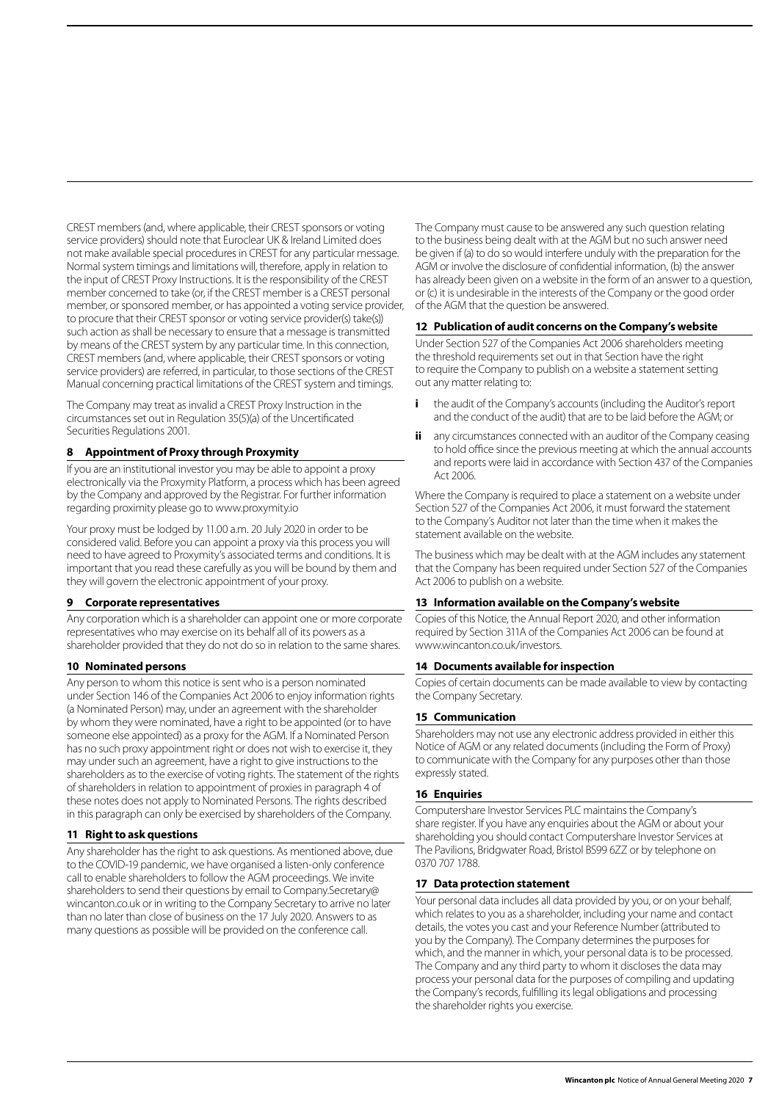CREST members (and, where applicable, their CREST sponsors or voting service providers) should note that Euroclear UK & Ireland Limited does not make available special procedures in CREST for any particular message. Normal system timings and limitations will, therefore, apply in relation to the input of CREST Proxy Instructions. It is the responsibility of the CREST member concerned to take (or, if the CREST member is a CREST personal member, or sponsored member, or has appointed a voting service provider, to procure that their CREST sponsor or voting service provider(s) take(s)) such action as shall be necessary to ensure that a message is transmitted by means of the CREST system by any particular time. In this connection, CREST members (and, where applicable, their CREST sponsors or voting service providers) are referred, in particular, to those sections of the CREST Manual concerning practical limitations of the CREST system and timings.

The Company may treat as invalid a CREST Proxy Instruction in the circumstances set out in Regulation 35(5)(a) of the Uncertificated Securities Regulations 2001.

## **8 Appointment of Proxy through Proxymity**

If you are an institutional investor you may be able to appoint a proxy electronically via the Proxymity Platform, a process which has been agreed by the Company and approved by the Registrar. For further information regarding proximity please go to www.proxymity.io

Your proxy must be lodged by 11.00 a.m. 20 July 2020 in order to be considered valid. Before you can appoint a proxy via this process you will need to have agreed to Proxymity's associated terms and conditions. It is important that you read these carefully as you will be bound by them and they will govern the electronic appointment of your proxy.

#### **9 Corporate representatives**

Any corporation which is a shareholder can appoint one or more corporate representatives who may exercise on its behalf all of its powers as a shareholder provided that they do not do so in relation to the same shares.

## **10 Nominated persons**

Any person to whom this notice is sent who is a person nominated under Section 146 of the Companies Act 2006 to enjoy information rights (a Nominated Person) may, under an agreement with the shareholder by whom they were nominated, have a right to be appointed (or to have someone else appointed) as a proxy for the AGM. If a Nominated Person has no such proxy appointment right or does not wish to exercise it, they may under such an agreement, have a right to give instructions to the shareholders as to the exercise of voting rights. The statement of the rights of shareholders in relation to appointment of proxies in paragraph 4 of these notes does not apply to Nominated Persons. The rights described in this paragraph can only be exercised by shareholders of the Company.

## **11 Right to ask questions**

Any shareholder has the right to ask questions. As mentioned above, due to the COVID-19 pandemic, we have organised a listen-only conference call to enable shareholders to follow the AGM proceedings. We invite shareholders to send their questions by email to Company.Secretary@ wincanton.co.uk or in writing to the Company Secretary to arrive no later than no later than close of business on the 17 July 2020. Answers to as many questions as possible will be provided on the conference call.

The Company must cause to be answered any such question relating to the business being dealt with at the AGM but no such answer need be given if (a) to do so would interfere unduly with the preparation for the AGM or involve the disclosure of confidential information, (b) the answer has already been given on a website in the form of an answer to a question, or (c) it is undesirable in the interests of the Company or the good order of the AGM that the question be answered.

#### **12 Publication of audit concerns on the Company's website**

Under Section 527 of the Companies Act 2006 shareholders meeting the threshold requirements set out in that Section have the right to require the Company to publish on a website a statement setting out any matter relating to:

- **i** the audit of the Company's accounts (including the Auditor's report and the conduct of the audit) that are to be laid before the AGM; or
- **ii** any circumstances connected with an auditor of the Company ceasing to hold office since the previous meeting at which the annual accounts and reports were laid in accordance with Section 437 of the Companies Act 2006.

Where the Company is required to place a statement on a website under Section 527 of the Companies Act 2006, it must forward the statement to the Company's Auditor not later than the time when it makes the statement available on the website.

The business which may be dealt with at the AGM includes any statement that the Company has been required under Section 527 of the Companies Act 2006 to publish on a website.

#### **13 Information available on the Company's website**

Copies of this Notice, the Annual Report 2020, and other information required by Section 311A of the Companies Act 2006 can be found at www.wincanton.co.uk/investors.

#### **14 Documents available for inspection**

Copies of certain documents can be made available to view by contacting the Company Secretary.

## **15 Communication**

Shareholders may not use any electronic address provided in either this Notice of AGM or any related documents (including the Form of Proxy) to communicate with the Company for any purposes other than those expressly stated.

#### **16 Enquiries**

Computershare Investor Services PLC maintains the Company's share register. If you have any enquiries about the AGM or about your shareholding you should contact Computershare Investor Services at The Pavilions, Bridgwater Road, Bristol BS99 6ZZ or by telephone on 0370 707 1788.

#### **17 Data protection statement**

Your personal data includes all data provided by you, or on your behalf, which relates to you as a shareholder, including your name and contact details, the votes you cast and your Reference Number (attributed to you by the Company). The Company determines the purposes for which, and the manner in which, your personal data is to be processed. The Company and any third party to whom it discloses the data may process your personal data for the purposes of compiling and updating the Company's records, fulfilling its legal obligations and processing the shareholder rights you exercise.